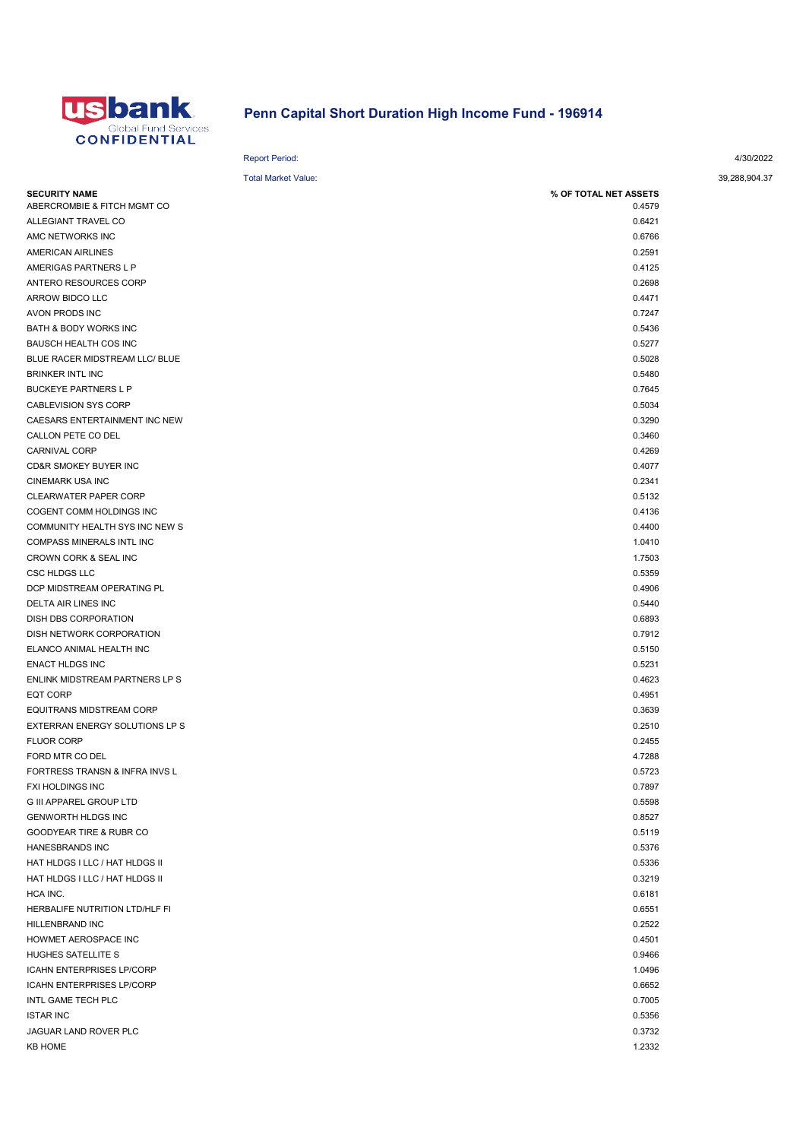

## Penn Capital Short Duration High Income Fund - 196914

Report Period: 4/30/2022

| <b>Total Market Value:</b>       |                       | 39,288,904.37 |
|----------------------------------|-----------------------|---------------|
| <b>SECURITY NAME</b>             | % OF TOTAL NET ASSETS |               |
| ABERCROMBIE & FITCH MGMT CO      | 0.4579                |               |
| ALLEGIANT TRAVEL CO              | 0.6421                |               |
| AMC NETWORKS INC                 | 0.6766                |               |
| AMERICAN AIRLINES                | 0.2591                |               |
| AMERIGAS PARTNERS L P            | 0.4125                |               |
| ANTERO RESOURCES CORP            | 0.2698                |               |
| ARROW BIDCO LLC                  | 0.4471                |               |
| AVON PRODS INC                   | 0.7247                |               |
| BATH & BODY WORKS INC            | 0.5436                |               |
| BAUSCH HEALTH COS INC            | 0.5277                |               |
| BLUE RACER MIDSTREAM LLC/ BLUE   | 0.5028                |               |
| <b>BRINKER INTL INC</b>          | 0.5480                |               |
| <b>BUCKEYE PARTNERS L P</b>      | 0.7645                |               |
| CABLEVISION SYS CORP             | 0.5034                |               |
| CAESARS ENTERTAINMENT INC NEW    | 0.3290                |               |
| CALLON PETE CO DEL               | 0.3460                |               |
| CARNIVAL CORP                    | 0.4269                |               |
| CD&R SMOKEY BUYER INC            | 0.4077                |               |
| <b>CINEMARK USA INC</b>          | 0.2341                |               |
| CLEARWATER PAPER CORP            | 0.5132                |               |
| COGENT COMM HOLDINGS INC         | 0.4136                |               |
| COMMUNITY HEALTH SYS INC NEW S   | 0.4400                |               |
| COMPASS MINERALS INTL INC        | 1.0410                |               |
| CROWN CORK & SEAL INC            | 1.7503                |               |
| <b>CSC HLDGS LLC</b>             | 0.5359                |               |
| DCP MIDSTREAM OPERATING PL       | 0.4906                |               |
| DELTA AIR LINES INC              | 0.5440                |               |
| DISH DBS CORPORATION             | 0.6893                |               |
| DISH NETWORK CORPORATION         | 0.7912                |               |
| ELANCO ANIMAL HEALTH INC         | 0.5150                |               |
| <b>ENACT HLDGS INC</b>           | 0.5231                |               |
| ENLINK MIDSTREAM PARTNERS LP S   | 0.4623                |               |
| <b>EQT CORP</b>                  | 0.4951                |               |
| <b>EQUITRANS MIDSTREAM CORP</b>  | 0.3639                |               |
| EXTERRAN ENERGY SOLUTIONS LP S   | 0.2510                |               |
| <b>FLUOR CORP</b>                | 0.2455                |               |
| FORD MTR CO DEL                  | 4.7288                |               |
| FORTRESS TRANSN & INFRA INVS L   | 0.5723                |               |
| FXI HOLDINGS INC                 | 0.7897                |               |
| <b>G III APPAREL GROUP LTD</b>   | 0.5598                |               |
| <b>GENWORTH HLDGS INC</b>        | 0.8527                |               |
| GOODYEAR TIRE & RUBR CO          | 0.5119                |               |
| HANESBRANDS INC                  | 0.5376                |               |
| HAT HLDGS I LLC / HAT HLDGS II   | 0.5336                |               |
| HAT HLDGS I LLC / HAT HLDGS II   | 0.3219                |               |
| HCA INC.                         | 0.6181                |               |
| HERBALIFE NUTRITION LTD/HLF FI   | 0.6551                |               |
| <b>HILLENBRAND INC</b>           | 0.2522                |               |
| HOWMET AEROSPACE INC             | 0.4501                |               |
| HUGHES SATELLITE S               | 0.9466                |               |
| <b>ICAHN ENTERPRISES LP/CORP</b> | 1.0496                |               |
| <b>ICAHN ENTERPRISES LP/CORP</b> | 0.6652                |               |
| INTL GAME TECH PLC               | 0.7005                |               |
| <b>ISTAR INC</b>                 | 0.5356                |               |
| JAGUAR LAND ROVER PLC            | 0.3732                |               |
| <b>KB HOME</b>                   | 1.2332                |               |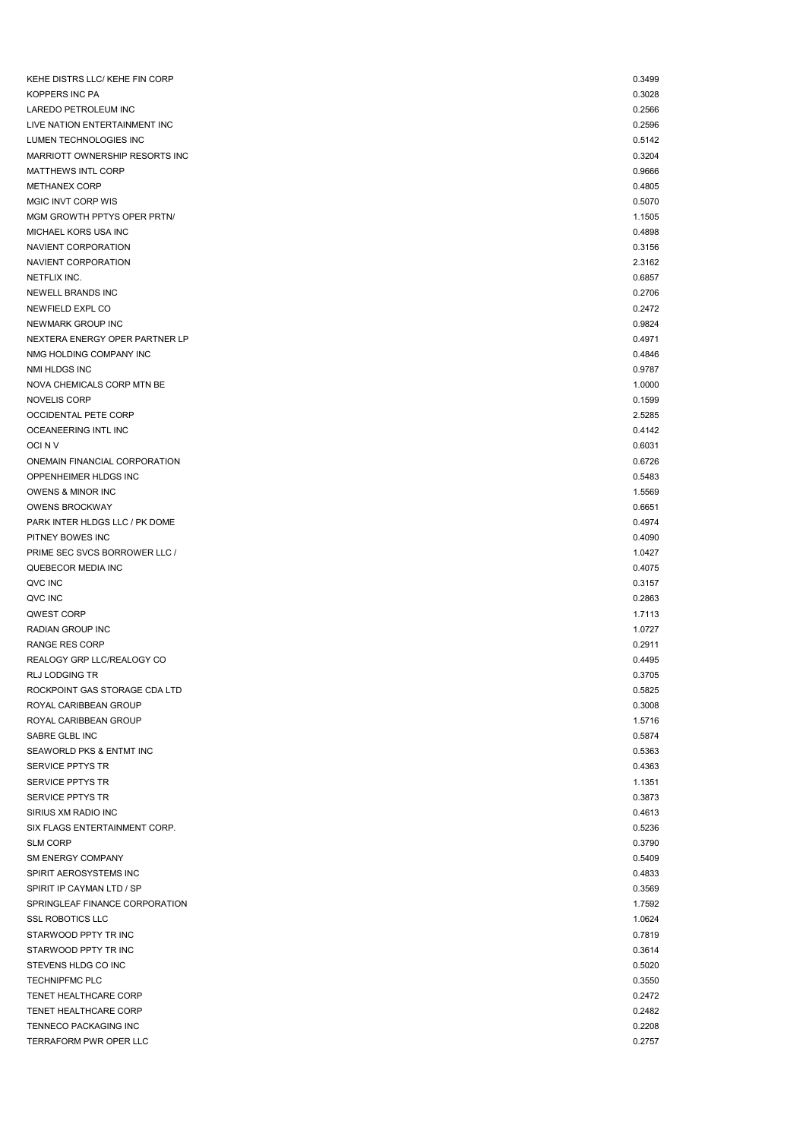| KEHE DISTRS LLC/ KEHE FIN CORP | 0.3499 |
|--------------------------------|--------|
| <b>KOPPERS INC PA</b>          | 0.3028 |
| LAREDO PETROLEUM INC           | 0.2566 |
| LIVE NATION ENTERTAINMENT INC  | 0.2596 |
| LUMEN TECHNOLOGIES INC         | 0.5142 |
| MARRIOTT OWNERSHIP RESORTS INC | 0.3204 |
| MATTHEWS INTL CORP             | 0.9666 |
| <b>METHANEX CORP</b>           | 0.4805 |
| MGIC INVT CORP WIS             | 0.5070 |
| MGM GROWTH PPTYS OPER PRTN/    | 1.1505 |
| MICHAEL KORS USA INC           | 0.4898 |
| NAVIENT CORPORATION            | 0.3156 |
| NAVIENT CORPORATION            | 2.3162 |
| NETFLIX INC.                   | 0.6857 |
| NEWELL BRANDS INC              | 0.2706 |
| NEWFIELD EXPL CO               | 0.2472 |
| NEWMARK GROUP INC              | 0.9824 |
| NEXTERA ENERGY OPER PARTNER LP | 0.4971 |
| NMG HOLDING COMPANY INC        | 0.4846 |
| NMI HLDGS INC                  | 0.9787 |
| NOVA CHEMICALS CORP MTN BE     | 1.0000 |
| <b>NOVELIS CORP</b>            | 0.1599 |
| OCCIDENTAL PETE CORP           | 2.5285 |
| OCEANEERING INTL INC           | 0.4142 |
| OCI N V                        | 0.6031 |
| ONEMAIN FINANCIAL CORPORATION  | 0.6726 |
| OPPENHEIMER HLDGS INC          | 0.5483 |
| OWENS & MINOR INC              | 1.5569 |
| <b>OWENS BROCKWAY</b>          | 0.6651 |
| PARK INTER HLDGS LLC / PK DOME | 0.4974 |
| PITNEY BOWES INC               | 0.4090 |
| PRIME SEC SVCS BORROWER LLC /  |        |
|                                | 1.0427 |
| QUEBECOR MEDIA INC             | 0.4075 |
| QVC INC                        | 0.3157 |
| QVC INC                        | 0.2863 |
| QWEST CORP                     | 1.7113 |
| RADIAN GROUP INC               | 1.0727 |
| <b>RANGE RES CORP</b>          | 0.2911 |
| REALOGY GRP LLC/REALOGY CO     | 0.4495 |
| RLJ LODGING TR                 | 0.3705 |
| ROCKPOINT GAS STORAGE CDA LTD  | 0.5825 |
| ROYAL CARIBBEAN GROUP          | 0.3008 |
| ROYAL CARIBBEAN GROUP          | 1.5716 |
| SABRE GLBL INC                 | 0.5874 |
| SEAWORLD PKS & ENTMT INC       | 0.5363 |
| SERVICE PPTYS TR               | 0.4363 |
| SERVICE PPTYS TR               | 1.1351 |
| SERVICE PPTYS TR               | 0.3873 |
| SIRIUS XM RADIO INC            | 0.4613 |
| SIX FLAGS ENTERTAINMENT CORP.  | 0.5236 |
| <b>SLM CORP</b>                | 0.3790 |
| SM ENERGY COMPANY              | 0.5409 |
| SPIRIT AEROSYSTEMS INC         | 0.4833 |
| SPIRIT IP CAYMAN LTD / SP      | 0.3569 |
| SPRINGLEAF FINANCE CORPORATION | 1.7592 |
| <b>SSL ROBOTICS LLC</b>        | 1.0624 |
| STARWOOD PPTY TR INC           | 0.7819 |
| STARWOOD PPTY TR INC           | 0.3614 |
| STEVENS HLDG CO INC            | 0.5020 |
| <b>TECHNIPFMC PLC</b>          | 0.3550 |
| TENET HEALTHCARE CORP          | 0.2472 |
| TENET HEALTHCARE CORP          | 0.2482 |
| TENNECO PACKAGING INC          | 0.2208 |
| TERRAFORM PWR OPER LLC         | 0.2757 |